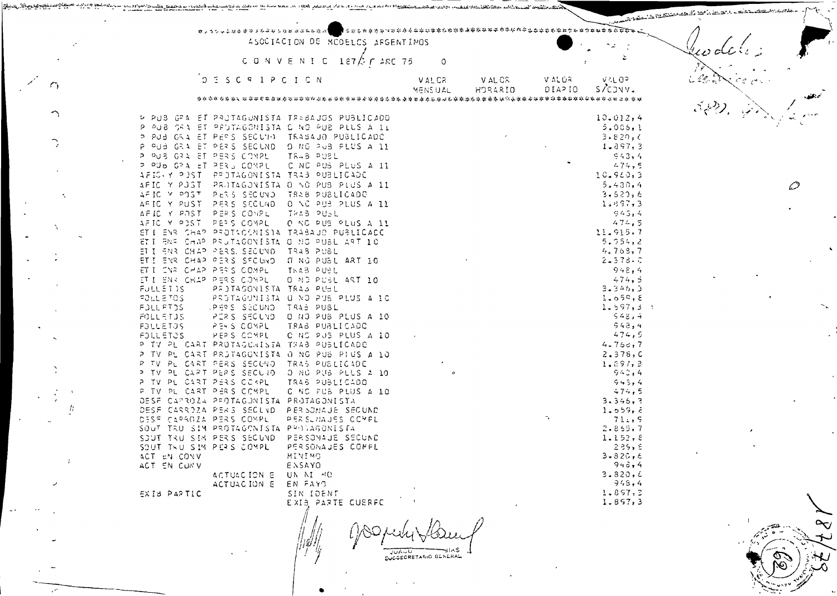|   |                                                                                                 |              |         |         |                   | میں کے مقدم منظور کا حقہ معصوم مقدم میں |
|---|-------------------------------------------------------------------------------------------------|--------------|---------|---------|-------------------|-----------------------------------------|
|   | **********************                                                                          |              |         |         |                   |                                         |
|   | ASOCIACION DE MODELOS ARGENTINOS                                                                |              |         |         |                   |                                         |
|   | C O N V E N I C<br>$187/5$ $\Gamma$ ARC 75                                                      | 0            |         |         |                   |                                         |
|   |                                                                                                 |              |         |         |                   |                                         |
|   | D E S C R I P C I C N                                                                           | <b>VALCR</b> | V AL CS | V AL OR | VAL 0P            |                                         |
|   |                                                                                                 | MENS U.AL    | HORARIO | 0IAPIO  | S/CONV.           |                                         |
|   | *****************************                                                                   |              |         |         |                   |                                         |
|   |                                                                                                 |              |         |         |                   |                                         |
|   | PUB GPA ET PROTAGONISTA TRABAJOS PUBLICADO                                                      |              |         |         | 10.012, 4         |                                         |
|   | P PUB SRA ET PROTAGONISTA E NO PUB PLUS A LL                                                    |              |         |         | 5.005,1           |                                         |
|   | P PUB GRA ET PERS SECUID TRABAJO PUBLICADO                                                      |              |         |         | 3.820, C          |                                         |
|   | P PUB GRA ET PERS SECUND. DING PUB PLUS A 11                                                    |              |         |         | $1 - 397, 3$      |                                         |
|   | P PUS GRA ET PERS COMPL<br><b>TR.8 PUBL</b>                                                     |              |         |         | 943,4             |                                         |
|   | C NC PUS PLUS A 11<br>P PUB GRA ET PERS COMPL                                                   |              |         |         | $-74,5$           |                                         |
|   | AFIC Y PUST PPOTAGONISTA TRAB PUBLICADE                                                         |              |         |         | 10.960,3          |                                         |
|   | AFIC Y PJST<br>PROTAGONISTA O NO PUB PLUS A II                                                  |              |         |         | 5.430,4           |                                         |
|   | PERS SECUND. TRAB PUBLICADO<br>AFIC Y POST                                                      |              |         |         | 3.520.6           |                                         |
|   | AFIC Y PUST PERS SECUND ONC PUB PLUS A 11                                                       |              |         |         | $1 - 197, 3$      |                                         |
|   | AFIC Y POST PERS COMPL<br>TRAB PUBL                                                             |              |         |         | 943.4             |                                         |
|   | AFIC Y POST PEPS COMPL<br>O NC PUS PLUS A 11                                                    |              |         |         | 474,5             |                                         |
|   | STI ENR CHAP PROTACINISTA TRABAUD PUBLICADE                                                     |              |         |         | 11.915.7          |                                         |
|   | ETI ENR CHAP PRUTAGONISTA O NG PUBL ART 10                                                      |              |         |         | 5.754,2           |                                         |
|   | ET I ENR CHAP PERS, SECUND. TRAB PUBL                                                           |              |         |         | 4.763,7           |                                         |
|   | ETI ENR CHAP PERS SFOUND. IT NO PUBL ART 10                                                     |              |         |         | $2 - 378 - C$     |                                         |
|   | ET I ENRICHAP PERIS COMPLI<br>TRAB PUBL                                                         |              |         |         | 948,4             |                                         |
|   | ET I ENR CHAP PERS COMPL<br>O ND PUSL ART 10                                                    |              |         |         | 474.5             |                                         |
|   | FULLET IS<br>PROTAGONISTA TRAB PUBL                                                             |              |         |         | 3.346.3           |                                         |
|   | FOLLETOS<br>PROTAGONISTA O NO PUS PLUS A 10                                                     |              |         |         | 1.059.8           |                                         |
|   | FOLL FTDS<br>LPERS SECUND. TRAB PUBL                                                            |              |         |         | 1.597,3.1         |                                         |
|   | PERS SECUVO O NO PUB PLUS A 10<br><b>ADLLETJS</b>                                               |              |         |         | 548,4             |                                         |
|   | <b>FOLLETOS</b><br>PERS COMPL<br>TRAB PUBLICADO                                                 |              |         |         | 948,4<br>474,5    |                                         |
|   | PEPS COMPL<br><b>FOLL ETOS</b><br>C NS PUS PLUS A 10                                            |              |         |         |                   |                                         |
|   | P TV PL CART PROTAGUNISTA TRAB PUBLICADO                                                        |              |         |         | 4.760,7           |                                         |
|   | P TV PL CART PROTAGONISTA O NG PUB PIUS A 10                                                    |              |         |         | 2.378, C          |                                         |
|   | PL CART PERS SECUND. TRAS PUBLICADE<br>P TV.<br>PL CART PERS SECURD. O NO PUB PLUS A 10<br>o TV |              |         |         | 1.897, 3<br>943,4 |                                         |
|   | P TV PL CART PERS COMPL<br>TRAS PUBLICADO                                                       |              |         |         | 943,4             |                                         |
|   | PL CART PERS COMPL<br>C NC FUB PLUS A 10<br>P TV                                                |              |         |         | 474,5             |                                         |
|   | DESF CAPROZA PROTAGUNISTA PROTAGONISTA                                                          |              |         |         | 3.345.3           |                                         |
| π | DESF CARRDIA PERIS SECUVD. PERISONAJE SECUND                                                    |              |         |         | 1.059.5           |                                         |
|   | DESF CARROZA PERS COMPLI<br>PERSUMAJES COMPL                                                    |              |         |         | 71.75             |                                         |
|   | SOUT TRU SIM PROTAGONISTA PROJAGONISTA                                                          |              |         |         | 2.855.7           |                                         |
|   | SOUT TRU SIM PERS SECUND. PERSONAUE SECUND                                                      |              |         |         | 1.152.5           |                                         |
|   | SOUT THU SIM PERS COMPL<br>PERSONAJES COMPL                                                     |              |         |         | 285.5             |                                         |
|   | <b>DMIVIM</b><br>ACT EN CONV                                                                    |              |         |         | $3 - 320, 6$      |                                         |
|   | ACT EN CUNV<br>ENSAYO                                                                           |              |         |         | 948,4             |                                         |
|   | ACTUACION E UN NI MO                                                                            |              |         |         | 3.320.6           |                                         |
|   | ACTUACION E<br>EN FAYD                                                                          |              |         |         | 948,4             |                                         |
|   | SIN IDENT<br>EXIS PARTIC                                                                        |              |         |         | 1.897, 3          |                                         |
|   | EXIB PARTE CUERFC                                                                               |              |         |         | 1.857,3           |                                         |
|   |                                                                                                 |              |         |         |                   |                                         |

JUACU JIAS

من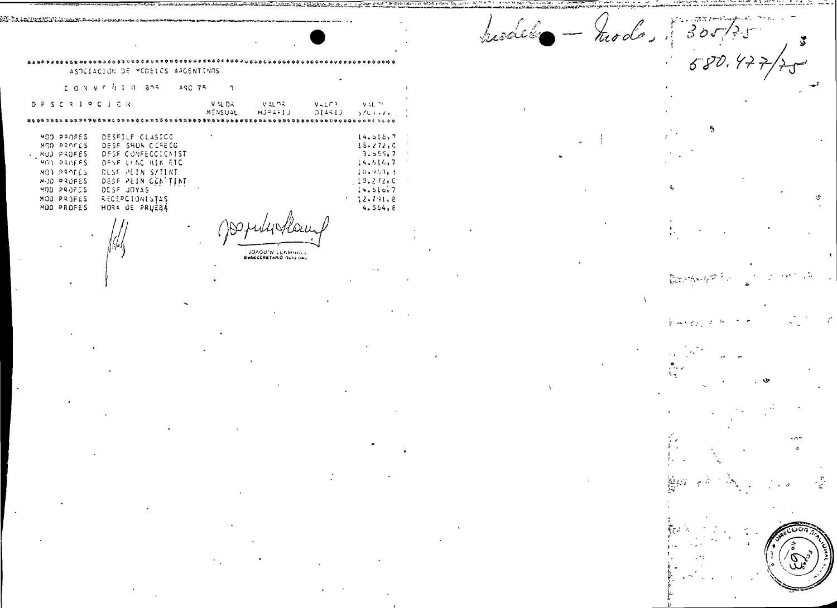hisall  $-$  hode, 305/75

 $580.47$ 

Ą

 $\beta_2$ s,  $\tau_2$   $\beta_2^{max}$  ,  $\tau_1$ 

 $\mathbf u$ 

مورد

医扁桃豆硷

U.,

الأنبولغ

الأفارس

r\$

ASPEIACION DE MODELOS ARGENTINOS CONVENTO 305 ASC 75  $\gamma$ 

D F S C R I P C I C N **VALDA**  $VAL$ 93.  $V H L P$  $\mathsf{VAL}(\mathbb{M})$ MENSUAL  $HJ = 1J$  $014513 - 5701.04$ 

MOD PPOFES DESFILE CLASICC MOD PROFES DESF SHUW CCRECG . NUD PROFES DESE CONFECCIONIST  $M(Y)$  PROFFS DESE LING BIK ETC MOD PROFES **DESF PEIN S/TINT** MUD PRUFES DESE PEIN CCA TINT MOD PROFCS DESF JOYAS NOO PROFES RECEPCIONISTAS MOD PROFES HORA DE PRUÉBÁ

220-Tin and University of Strawning

JOAGU'N LLAMISM :

 $14.016,7$ 

 $16.272, C$ 

 $3.055,7$ 

14.616,7

10.969.3

 $13.212, C$ 

 $14.510,7$ 

 $12.791,8$ 

 $4.564,8$